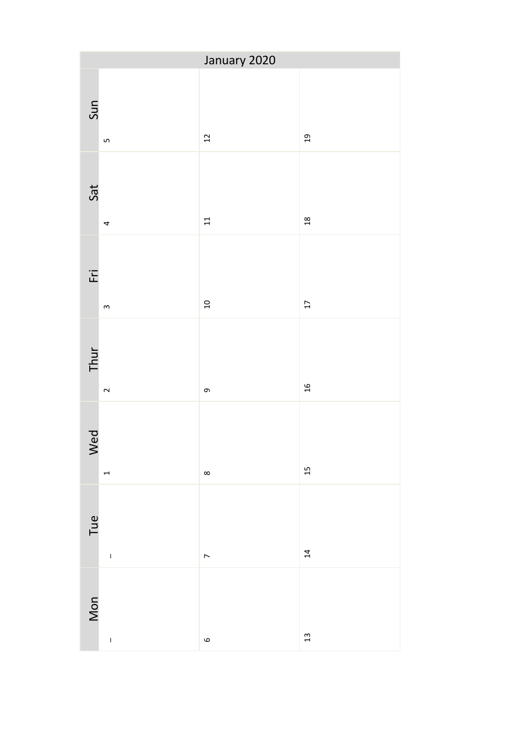|                   | January 2020                                                |                |                 |
|-------------------|-------------------------------------------------------------|----------------|-----------------|
| Sun               | $\mathsf{L}$                                                | $\overline{1}$ | $\mathfrak{g}$  |
| Sat               | 4                                                           | 11             | 18              |
| $\overline{F}$ ri | $\mathsf{m}$                                                | 10             | $\overline{17}$ |
| Thur              | $\sim$                                                      | თ,             | $\mathfrak{a}$  |
| Wed               | $\overline{ }$                                              | $\infty$       | 15              |
| Tue               | $\begin{array}{c} \begin{array}{c} \end{array} \end{array}$ | $\overline{a}$ | $\overline{14}$ |
| Mon               | $\mathbf{I}$                                                | $\circ$        | $13$            |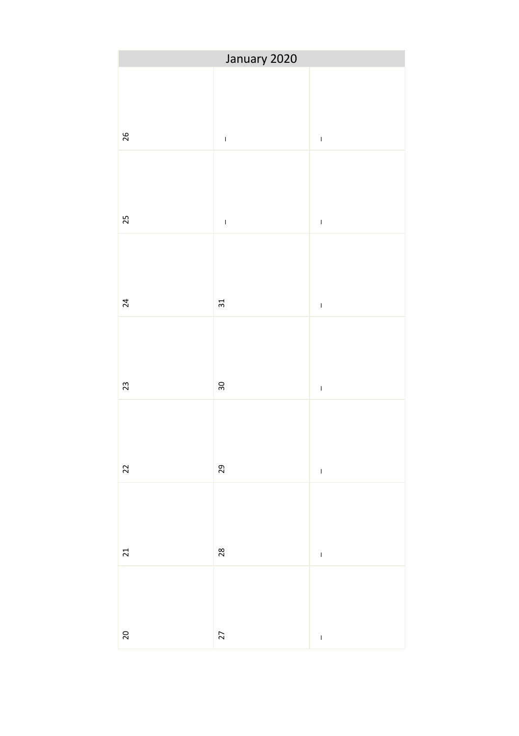|        | January 2020    |                 |
|--------|-----------------|-----------------|
| 26     | $\bar{1}$       | $\bar{1}$       |
| 25     | $\bar{\bar{1}}$ | $\bar{1}$       |
| 24     | $31\,$          | $\overline{1}$  |
| 23     | $30\,$          | $\overline{1}$  |
| 22     | 29              | $\bar{\bar{1}}$ |
| 21     | $28$            | $\bar{\bar{1}}$ |
| $20\,$ | 27              | $\overline{1}$  |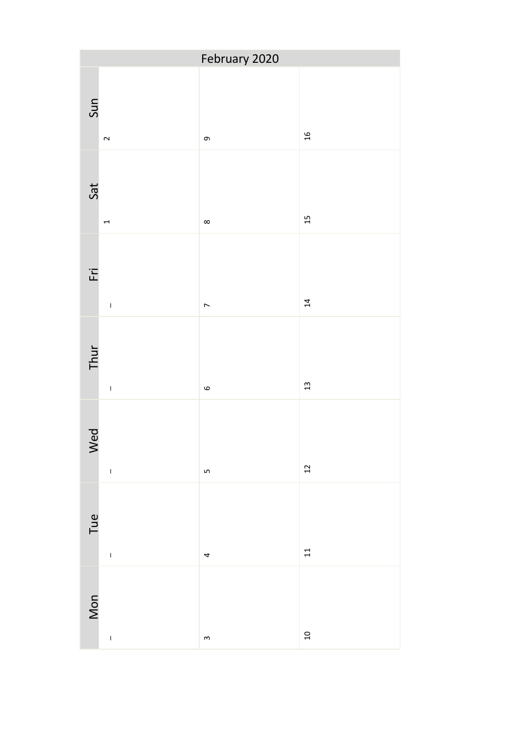| February 2020                                                      |                |                                                                                                                                                                                                                                                                                                                                                                                                                                                                                                                      |  |
|--------------------------------------------------------------------|----------------|----------------------------------------------------------------------------------------------------------------------------------------------------------------------------------------------------------------------------------------------------------------------------------------------------------------------------------------------------------------------------------------------------------------------------------------------------------------------------------------------------------------------|--|
| Sun<br>$\sim$                                                      | $\sigma$       | $16$                                                                                                                                                                                                                                                                                                                                                                                                                                                                                                                 |  |
| Sat<br>$\overline{ }$                                              | $\infty$       | 15                                                                                                                                                                                                                                                                                                                                                                                                                                                                                                                   |  |
| $\overline{E}$<br>$\begin{array}{c} \bar{\phantom{a}} \end{array}$ | $\overline{a}$ | $\overline{14}$                                                                                                                                                                                                                                                                                                                                                                                                                                                                                                      |  |
| Thur<br>$\bar{\rm I}$                                              | $\circ$        | $\mathfrak{L}% _{0}\!\left( \mathcal{N}_{0}\!\left( \mathcal{N}_{0}\!\left( \mathcal{N}_{0}\!\left( \mathcal{N}_{0}\!\left(\mathcal{N}_{0}\!\left(\mathcal{N}_{0}\!\left(\mathcal{N}_{0}\!\left(\mathcal{N}_{0}\!\left(\mathcal{N}_{0}\!\left(\mathcal{N}_{0}\!\left(\mathcal{N}_{0}\!\left(\mathcal{N}_{0}\!\left(\mathcal{N}_{0}\!\left(\mathcal{N}_{0}\!\left(\mathcal{N}_{0}\!\left(\mathcal{N}_{0}\!\left(\mathcal{N}_{0}\!\left(\mathcal{N}_{0}\!\left(\mathcal{N}_{0}\!\left(\mathcal{N}_{0}\!\left(\mathcal$ |  |
| Wed                                                                | $\overline{5}$ | $\overline{c}$                                                                                                                                                                                                                                                                                                                                                                                                                                                                                                       |  |
| Tue<br>$\begin{array}{c} \begin{array}{c} \end{array} \end{array}$ | 4              | $11$                                                                                                                                                                                                                                                                                                                                                                                                                                                                                                                 |  |
| Mon<br>$\mathbf{I}$                                                | $\mathsf{S}$   | $\begin{array}{c}\n 2 \\ \hline\n 0\n \end{array}$                                                                                                                                                                                                                                                                                                                                                                                                                                                                   |  |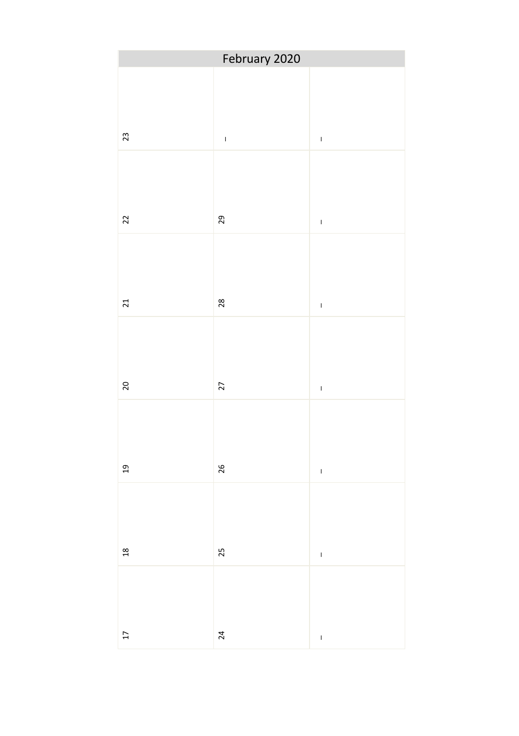| February 2020   |                |                 |  |
|-----------------|----------------|-----------------|--|
| 23              | $\bar{1}$      | $\bar{1}$       |  |
| 22              | 29             | $\bar{\rm I}$   |  |
| 21              | 28             | $\bar{\bar{1}}$ |  |
| $20$            | 27             | $\bar{\Gamma}$  |  |
| 19              | 26             | $\overline{1}$  |  |
| $\frac{18}{1}$  | 25             | $\bar{1}$       |  |
| $\overline{17}$ | $\overline{a}$ | $\mathbf{I}$    |  |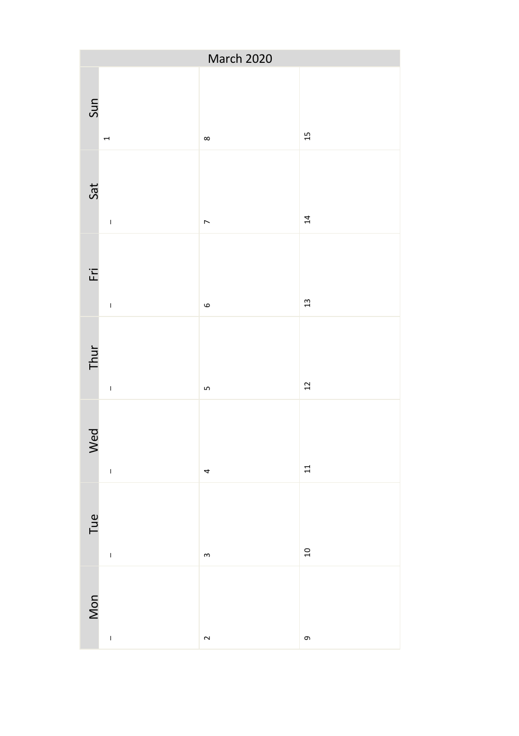|                                                                    | March 2020     |                 |
|--------------------------------------------------------------------|----------------|-----------------|
| Sun<br>$\overline{ }$                                              | $\infty$       | 15              |
| Sat<br>$\bar{1}$                                                   | $\overline{ }$ | $\overline{14}$ |
| $\overline{E}$<br>$\begin{array}{c} \bar{\phantom{a}} \end{array}$ | $\circ$        | $\frac{1}{3}$   |
| Thur<br>$\begin{array}{c} \bar{\phantom{a}} \end{array}$           | Lŋ             | $\overline{1}$  |
| Wed<br>$\mathsf I$                                                 | 4              | $\Xi$           |
| Tue<br>$\mathsf I$                                                 | $\mathsf{S}$   | $\overline{a}$  |
| Mon<br>$\overline{1}$                                              | $\sim$         | თ,              |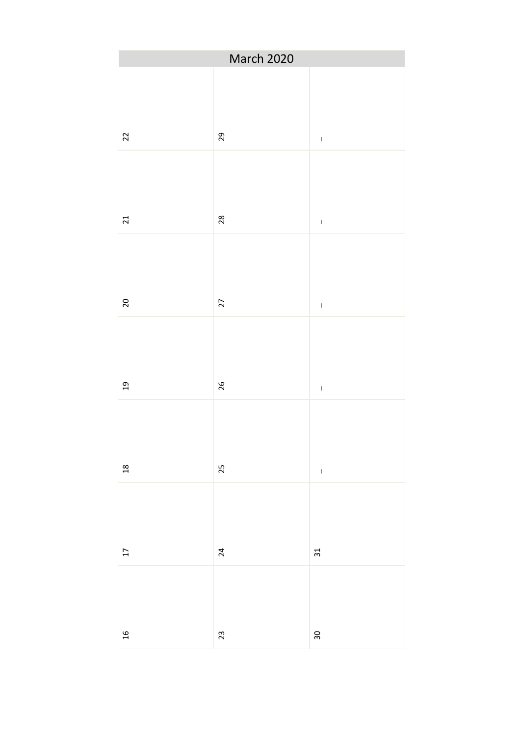|                 | March 2020      |                 |  |
|-----------------|-----------------|-----------------|--|
| $\overline{2}$  | 29              | $\mathbf I$     |  |
| 21              | $28$            | $\bar{\bar{1}}$ |  |
| 20              | 27              | $\bar{1}$       |  |
| $\overline{a}$  | 26              | $\bar{\rm I}$   |  |
| $^{28}$         | 25              | $\bar{1}$       |  |
| $\overline{17}$ | $\overline{24}$ | $31$            |  |
| $\frac{1}{2}$   | $23\,$          | $30\,$          |  |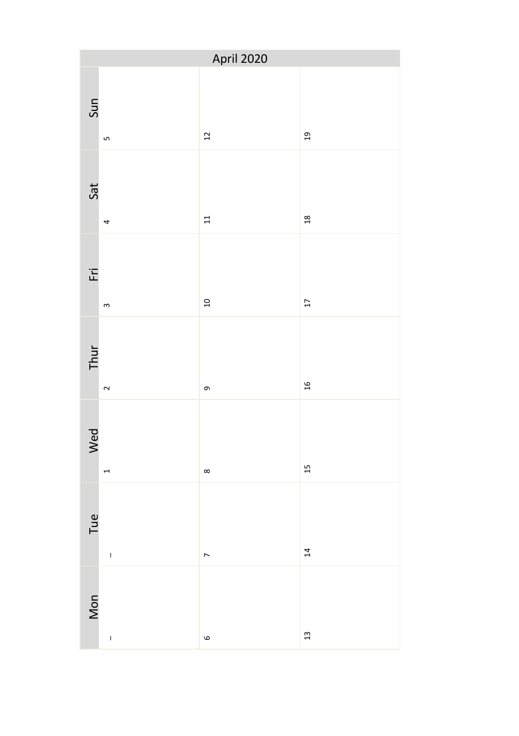| April 2020     |                                                             |                 |                 |
|----------------|-------------------------------------------------------------|-----------------|-----------------|
| Sun            | $\mathsf{L}$                                                | $\overline{12}$ | $\overline{a}$  |
| Sat            | 4                                                           | $11$            | $\frac{18}{1}$  |
| $\overline{E}$ | $\mathsf{m}$                                                | $\frac{1}{2}$   | $\overline{17}$ |
| Thur           | $\sim$                                                      | თ,              | $\frac{1}{2}$   |
| Wed            |                                                             | $\infty$        | 15              |
| Tue            | $\begin{array}{c} \begin{array}{c} \end{array} \end{array}$ | $\overline{a}$  | 14              |
| Mon            | $\overline{1}$                                              | $\circ$         | $13$            |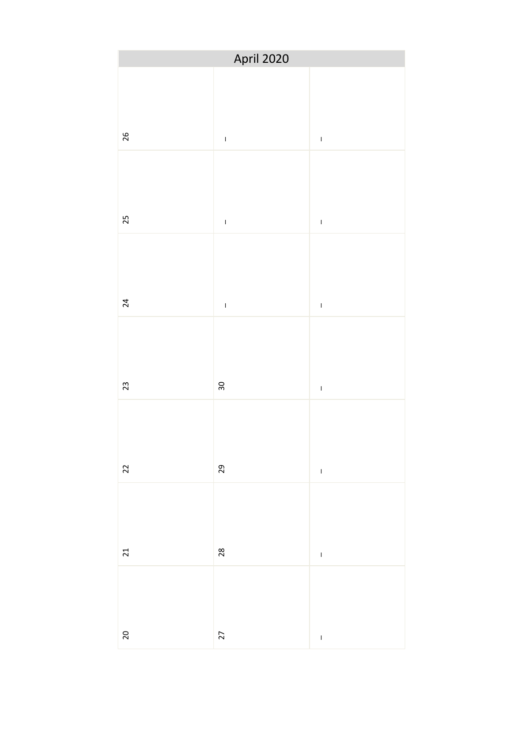|        | April 2020    |                |
|--------|---------------|----------------|
| 26     | $\bar{1}$     | $\bar{\rm I}$  |
| 25     | $\bar{\rm I}$ | $\bar{1}$      |
| 24     | $\bar{1}$     | $\bar{1}$      |
| 23     | $30\,$        | $\overline{1}$ |
| 22     | 29            | $\mathbf{I}$   |
| 21     | 28            | $\mathbf{I}$   |
| $20\,$ | 27            | $\overline{1}$ |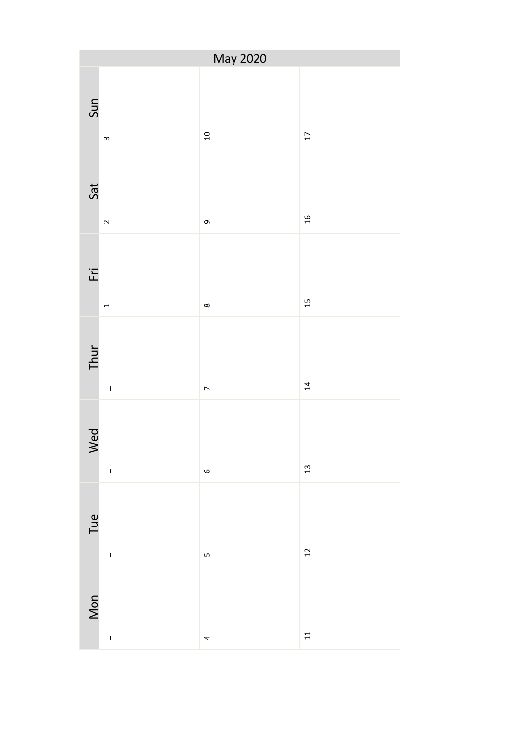| May 2020                                                            |  |                |                 |
|---------------------------------------------------------------------|--|----------------|-----------------|
| Sun<br>$\,$ $\,$                                                    |  | $\overline{a}$ | $\overline{17}$ |
| Sat<br>$\sim$                                                       |  | თ,             | $16$            |
| $\overline{E}$<br>$\overline{ }$                                    |  | ${}^{\circ}$   | 15              |
| Thur<br>$\begin{array}{c} \begin{array}{c} \end{array} \end{array}$ |  | $\overline{ }$ | $\overline{a}$  |
| Wed<br>$\begin{array}{c} \bar{\phantom{a}} \end{array}$             |  | $\circ$        | 13              |
| Tue<br>$\begin{array}{c} \begin{array}{c} \end{array} \end{array}$  |  | Lŋ             | 12              |
| Mon<br>$\overline{1}$                                               |  | 4              | $\overline{1}$  |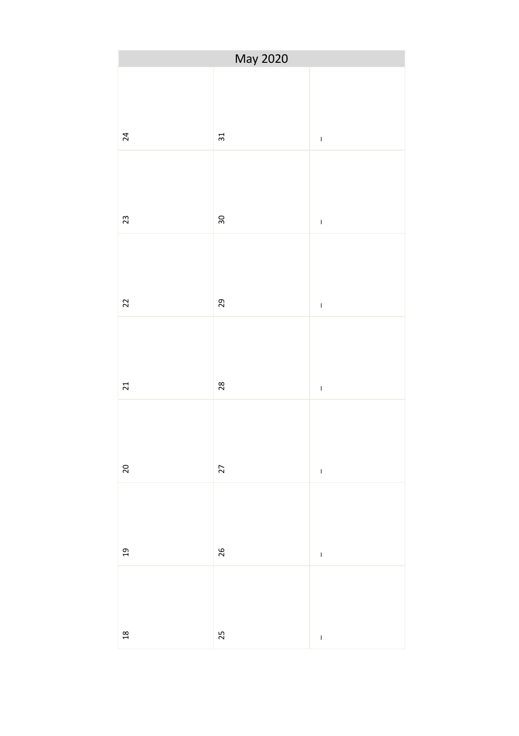|                 | May 2020 |                 |
|-----------------|----------|-----------------|
| $\overline{24}$ | $31\,$   | $\bar{1}$       |
| 23              | 30       | $\bar{\bar{1}}$ |
| 22              | 29       | $\bar{\rm I}$   |
| 21              | 28       | $\bar{\Gamma}$  |
| 20              | 27       | $\overline{1}$  |
| 19              | 26       | $\bar{1}$       |
| $\overline{a}$  | 25       | $\mathbf{I}$    |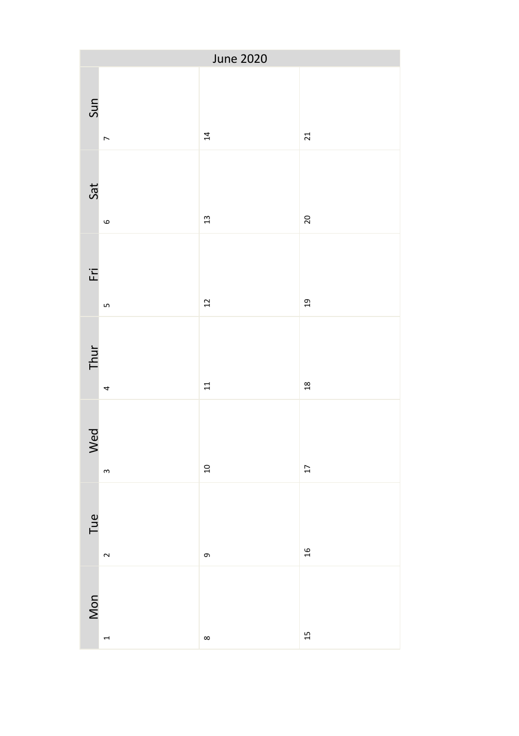| June 2020      |                |                 |               |
|----------------|----------------|-----------------|---------------|
| Sun            | $\overline{ }$ | $\overline{14}$ | 21            |
| Sat            | $\circ$        | 13              | 20            |
| $\overline{F}$ | LŊ             | $\overline{12}$ | 19            |
| Thur           | 4              | 11              | $\frac{8}{2}$ |
| Wed            | $\,$ $\,$      | $\overline{a}$  | 17            |
| Tue            | $\sim$         | თ,              | 16            |
| Mon            | $\overline{ }$ | ${}^{\circ}$    | 15            |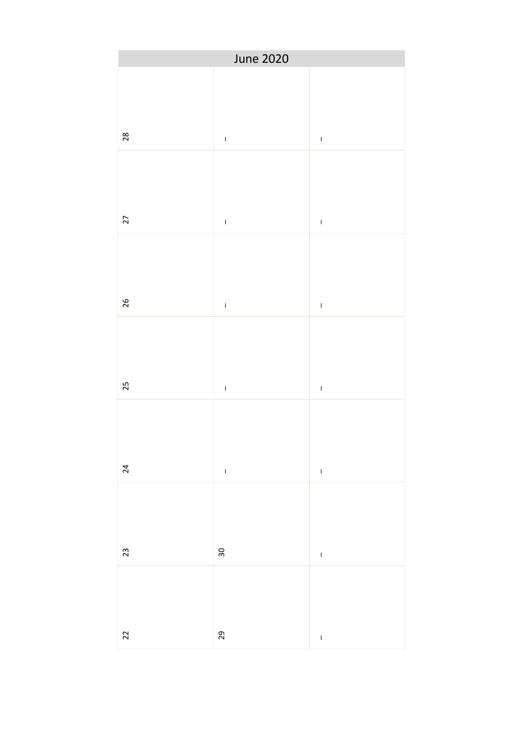|                | June 2020       |                 |
|----------------|-----------------|-----------------|
| 28             | $\bar{1}$       | $\bar{1}$       |
| 27             | $\bar{\bar{1}}$ | $\bar{\bar{1}}$ |
| 26             | $\bar{1}$       | $\bar{1}$       |
| 25             | $\bar{1}$       | $\bar{1}$       |
| 24             | $\bar{\rm I}$   | $\bar{\bar{1}}$ |
| 23             | $30\,$          | $\overline{1}$  |
| $\overline{2}$ | $_{29}$         | $\mathbf{I}$    |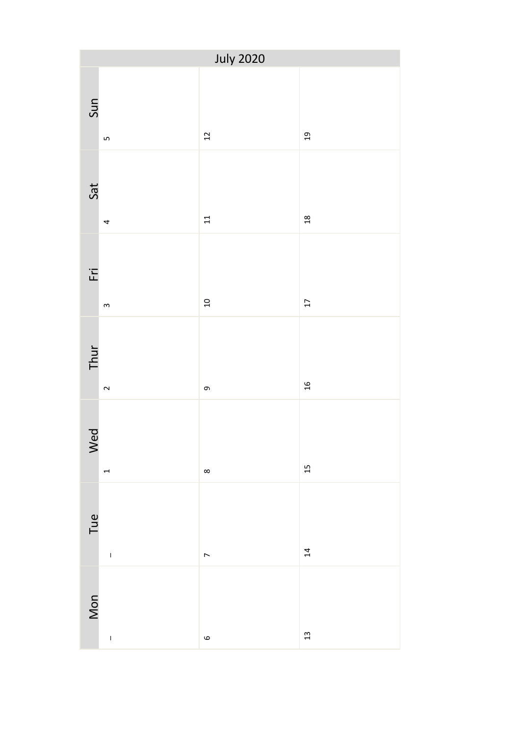| <b>July 2020</b> |                                                             |                |                 |
|------------------|-------------------------------------------------------------|----------------|-----------------|
| Sun              | $\mathsf{L}$                                                | $\frac{1}{2}$  | $\overline{a}$  |
| Sat              | 4                                                           | $11$           | $\frac{18}{1}$  |
| $\overline{E}$   | $\mathsf{m}$                                                | $\frac{1}{2}$  | $\overline{17}$ |
| Thur             | $\sim$                                                      | თ,             | $\frac{1}{2}$   |
| Wed              | $\mathbf \tau$                                              | $\infty$       | 15              |
| Tue              | $\begin{array}{c} \begin{array}{c} \end{array} \end{array}$ | $\overline{a}$ | 14              |
| Mon              | $\overline{1}$                                              | $\circ$        | $13$            |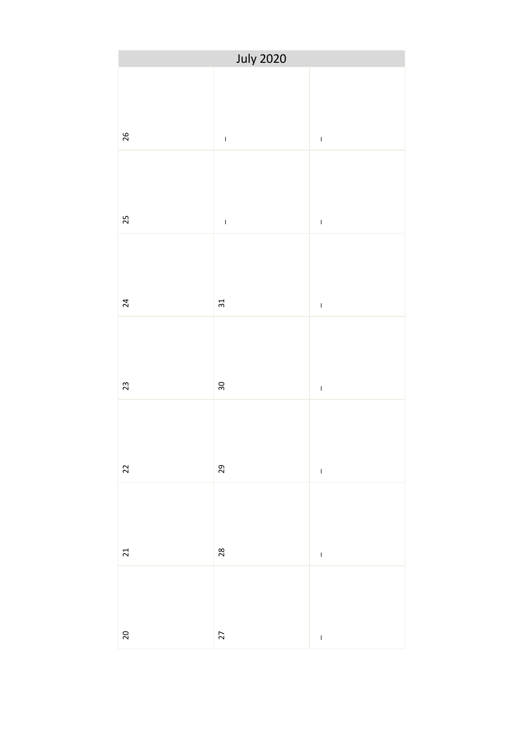|    | <b>July 2020</b>        |                |
|----|-------------------------|----------------|
| 26 | $\bar{1}$               | $\bar{1}$      |
| 25 | $\bar{1}$               | $\bar{1}$      |
| 24 | $\overline{\mathrm{s}}$ | $\overline{1}$ |
| 23 | $30\,$                  | $\overline{1}$ |
| 22 | 29                      | $\bar{1}$      |
| 21 | $28$                    | $\overline{1}$ |
| 20 | 27                      | $\overline{1}$ |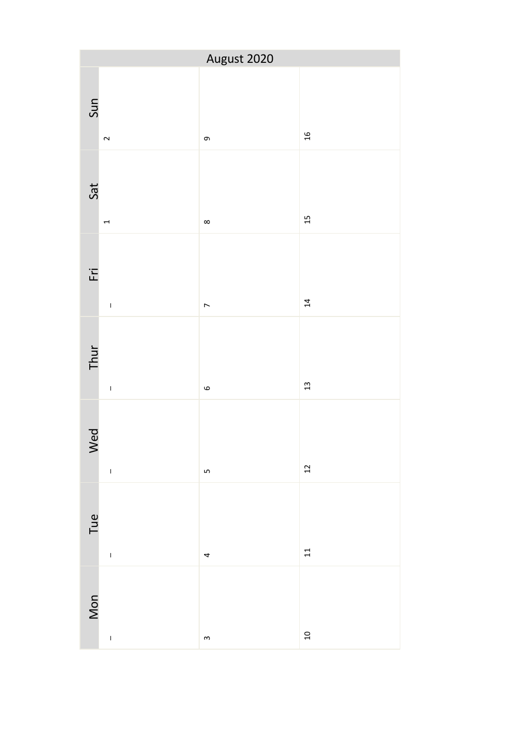|                                 | August 2020    |                 |
|---------------------------------|----------------|-----------------|
| Sun<br>$\sim$                   | თ,             | $16$            |
| Sat<br>$\overline{ }$           | ${}^{\circ}$   | 15              |
| $F_{\overline{L}}$<br>$\bar{1}$ | $\overline{a}$ | $\overline{14}$ |
| Thur<br>$\bar{\rm I}$           | $\circ$        | $\mathfrak{a}$  |
| Wed<br>$\bar{1}$                | Lŋ             | $12 \text{ }$   |
| Tue                             | 4              | $11$            |
| Mon<br>$\mathbf{I}$             | $\mathsf{S}$   | $\overline{a}$  |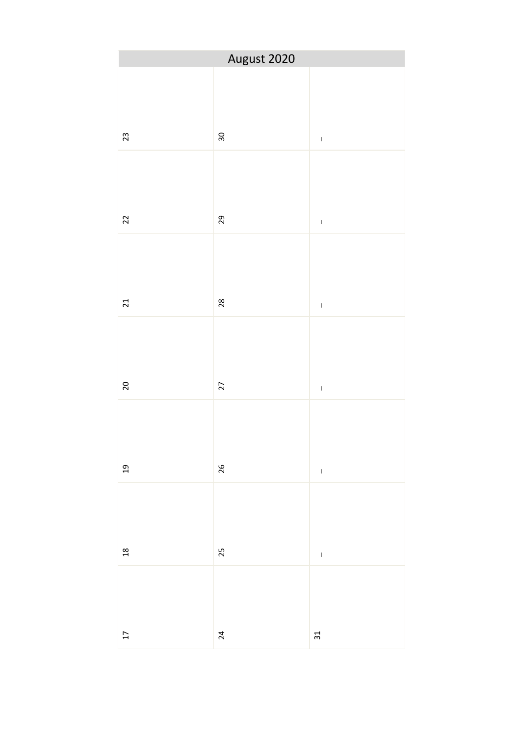| August 2020     |                |                 |  |
|-----------------|----------------|-----------------|--|
| 23              | $30\,$         | $\bar{\bar{1}}$ |  |
| 22              | 29             | $\bar{1}$       |  |
| 21              | $28$           | $\bar{1}$       |  |
| $20\,$          | 27             | $\bar{\rm I}$   |  |
| 19              | 26             | $\overline{1}$  |  |
| $18$            | 25             | $\bar{1}$       |  |
| $\overline{17}$ | $\overline{a}$ | $\mathfrak{L}$  |  |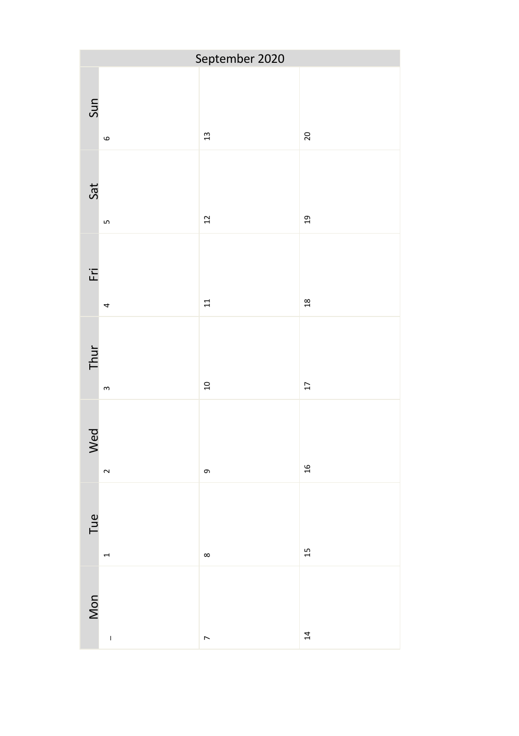| September 2020 |              |                |                 |
|----------------|--------------|----------------|-----------------|
| Sun            | $\circ$      | $\frac{13}{2}$ | 20              |
| Sat            | LO.          | 12             | 19              |
| Έŕ             | 4            | $11$           | 18              |
| Thur           | $\mathsf{m}$ | $\overline{a}$ | $\overline{17}$ |
| Wed            | $\sim$       | თ              | 16              |
| Tue            | 1            | $\infty$       | 15              |
| Mon            | $\mathbf{I}$ | $\overline{ }$ | 14              |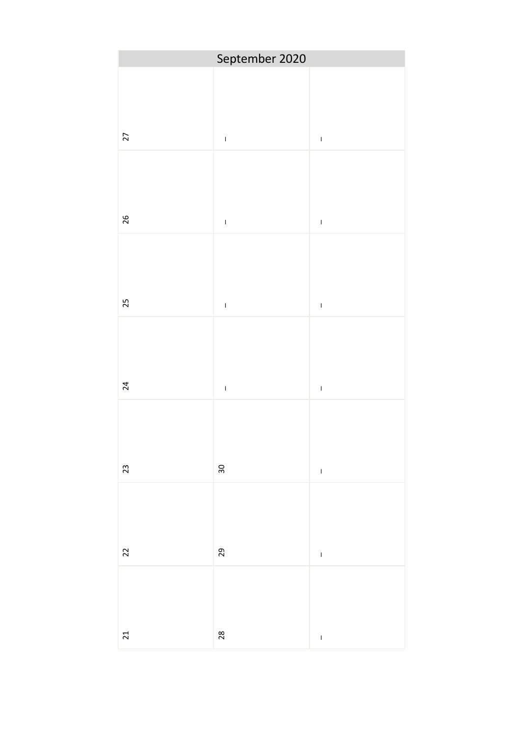|                 | September 2020  |                |
|-----------------|-----------------|----------------|
| $\overline{27}$ | $\bar{1}$       | $\bar{1}$      |
| 26              | $\bar{\bar{1}}$ | $\bar{1}$      |
| 25              | $\bar{1}$       | $\overline{1}$ |
| $\overline{24}$ | $\bar{1}$       | $\overline{1}$ |
| 23              | $30\,$          | $\bar{\rm I}$  |
| 22              | 29              | $\overline{1}$ |
| 21              | 28              | $\overline{1}$ |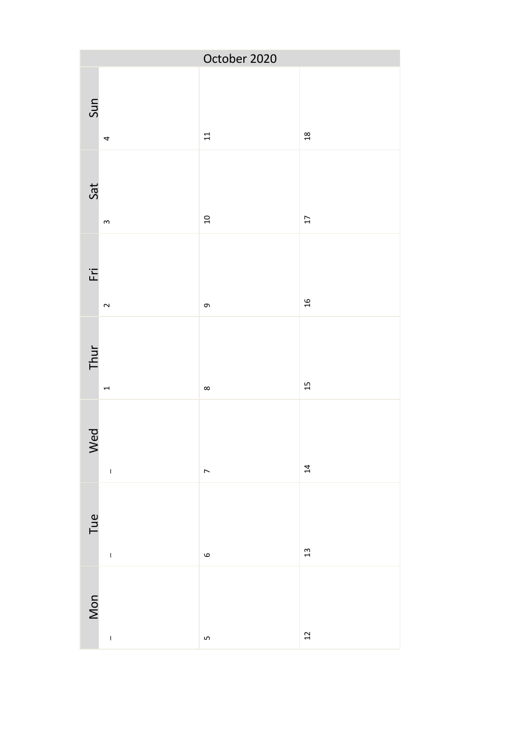| October 2020                 |                  |                |
|------------------------------|------------------|----------------|
| Sun<br>4                     | $\Xi$            | $^{28}$        |
| Sat<br>$\mathsf{S}$          | 10               | 17             |
| $F_{\overline{L}}$<br>$\sim$ | $\sigma$         | $\frac{1}{2}$  |
| Thur<br>$\overline{ }$       | $\infty$         | $\overline{1}$ |
| Wed                          | $\overline{ }$   | 14             |
| Tue<br>$\bar{1}$             | $\mathbf \omega$ | 13             |
| Mon<br>$\mathbf{I}$          | Ln               | $\frac{1}{2}$  |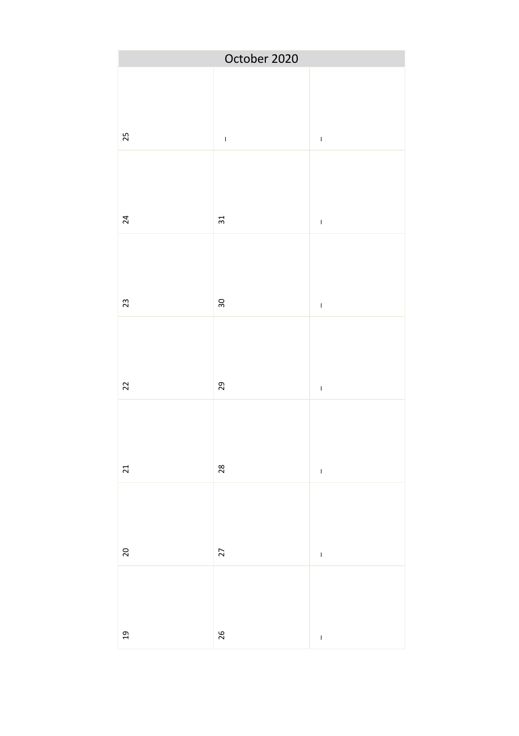| October 2020   |           |                    |
|----------------|-----------|--------------------|
| 25             | $\bar{1}$ | $\bar{1}$          |
| 24             | $\Xi$     | $\bar{1}$          |
| 23             | 30        | $\bar{\bar{1}}$    |
| $22\,$         | $_{29}$   | $\bar{\rm I}$      |
| 21             | 28        | $\bar{\rm I}$      |
| $\overline{c}$ | 27        | $\bar{\mathbf{I}}$ |
| $_{19}$        | 26        | $\overline{1}$     |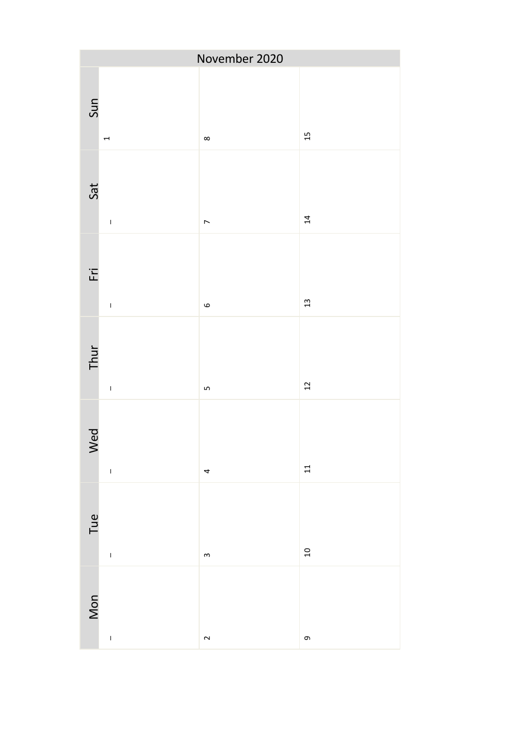|                                 | November 2020  |                           |
|---------------------------------|----------------|---------------------------|
| Sun<br>$\overline{ }$           | $\infty$       | 15                        |
| Sat<br>$\bar{1}$                | $\overline{ }$ | $\overline{14}$           |
| $\overline{F}$<br>$\bar{\rm I}$ | $\circ$        | $\frac{13}{2}$            |
| Thur                            | Lŋ             | $\overline{\mathfrak{c}}$ |
| Wed<br>$\bar{\rm I}$            | 4              | $\Xi$                     |
| Tue<br>$\mathsf I$              | $\mathsf{S}$   | $\overline{a}$            |
| Mon<br>$\bar{\rm I}$            | $\sim$         | 0                         |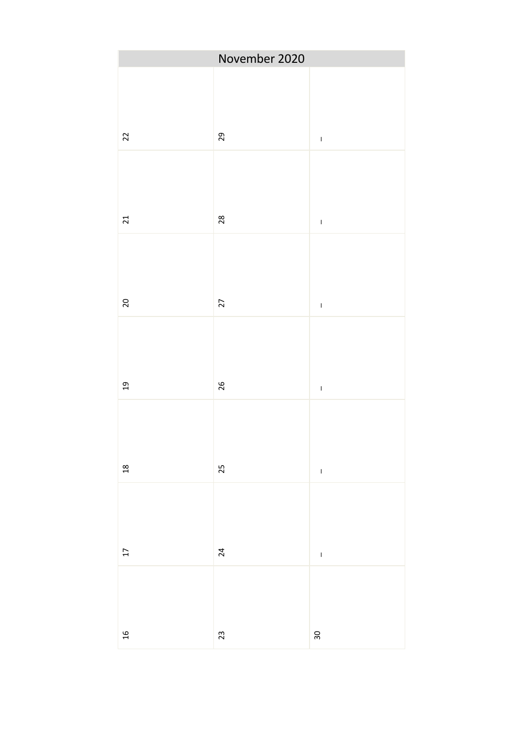|                 | November 2020 |                 |
|-----------------|---------------|-----------------|
| $\overline{2}$  | 29            | $\bar{1}$       |
| 21              | 28            | $\bar{\bar{1}}$ |
| 20              | 27            | $\bar{\rm I}$   |
| $\overline{a}$  | 26            | $\bar{\rm I}$   |
| 18              | 25            |                 |
| $\overline{17}$ | 24            | $\bar{1}$       |
| $\frac{1}{2}$   | $23\,$        | $30\,$          |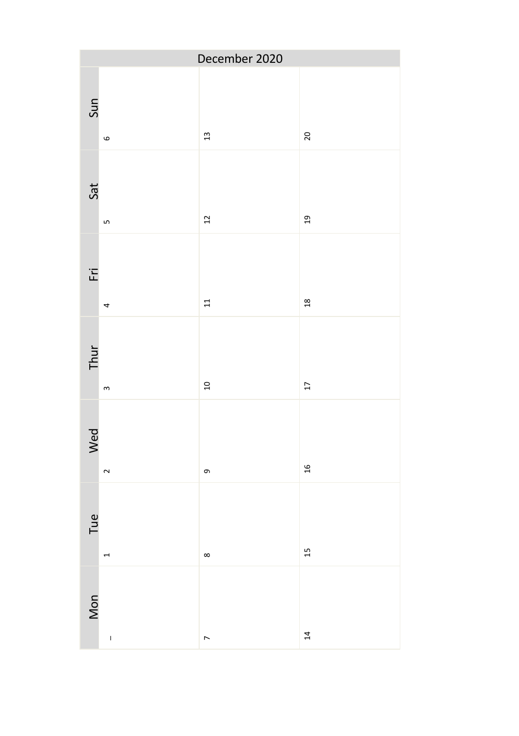| December 2020 |              |                |                 |
|---------------|--------------|----------------|-----------------|
| Sun           | $\circ$      | $\frac{1}{3}$  | 20              |
| Sat           | LO           | 12             | 19              |
| Έŕ            | 4            | $11$           | 18              |
| Thur          | $\,$ $\,$    | $\overline{a}$ | $\overline{17}$ |
| Wed           | $\sim$       | თ              | 16              |
| Tue           | 1            | $\infty$       | 15              |
| Mon           | $\mathbf{I}$ | $\overline{ }$ | 14              |